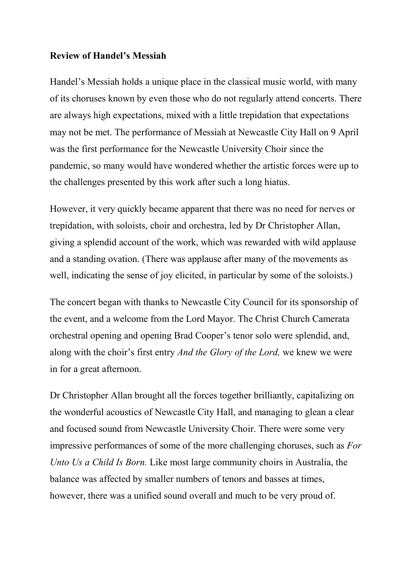## **Review of Handel's Messiah**

Handel's Messiah holds a unique place in the classical music world, with many of its choruses known by even those who do not regularly attend concerts. There are always high expectations, mixed with a little trepidation that expectations may not be met. The performance of Messiah at Newcastle City Hall on 9 April was the first performance for the Newcastle University Choir since the pandemic, so many would have wondered whether the artistic forces were up to the challenges presented by this work after such a long hiatus.

However, it very quickly became apparent that there was no need for nerves or trepidation, with soloists, choir and orchestra, led by Dr Christopher Allan, giving a splendid account of the work, which was rewarded with wild applause and a standing ovation. (There was applause after many of the movements as well, indicating the sense of joy elicited, in particular by some of the soloists.)

The concert began with thanks to Newcastle City Council for its sponsorship of the event, and a welcome from the Lord Mayor. The Christ Church Camerata orchestral opening and opening Brad Cooper's tenor solo were splendid, and, along with the choir's first entry *And the Glory of the Lord,* we knew we were in for a great afternoon.

Dr Christopher Allan brought all the forces together brilliantly, capitalizing on the wonderful acoustics of Newcastle City Hall, and managing to glean a clear and focused sound from Newcastle University Choir. There were some very impressive performances of some of the more challenging choruses, such as *For Unto Us a Child Is Born.* Like most large community choirs in Australia, the balance was affected by smaller numbers of tenors and basses at times, however, there was a unified sound overall and much to be very proud of.